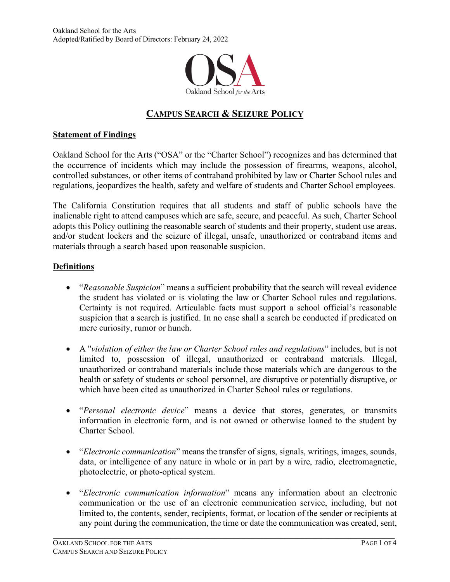

# **CAMPUS SEARCH & SEIZURE POLICY**

## **Statement of Findings**

Oakland School for the Arts ("OSA" or the "Charter School") recognizes and has determined that the occurrence of incidents which may include the possession of firearms, weapons, alcohol, controlled substances, or other items of contraband prohibited by law or Charter School rules and regulations, jeopardizes the health, safety and welfare of students and Charter School employees.

The California Constitution requires that all students and staff of public schools have the inalienable right to attend campuses which are safe, secure, and peaceful. As such, Charter School adopts this Policy outlining the reasonable search of students and their property, student use areas, and/or student lockers and the seizure of illegal, unsafe, unauthorized or contraband items and materials through a search based upon reasonable suspicion.

## **Definitions**

- "*Reasonable Suspicion*" means a sufficient probability that the search will reveal evidence the student has violated or is violating the law or Charter School rules and regulations. Certainty is not required. Articulable facts must support a school official's reasonable suspicion that a search is justified. In no case shall a search be conducted if predicated on mere curiosity, rumor or hunch.
- A "*violation of either the law or Charter School rules and regulations*" includes, but is not limited to, possession of illegal, unauthorized or contraband materials. Illegal, unauthorized or contraband materials include those materials which are dangerous to the health or safety of students or school personnel, are disruptive or potentially disruptive, or which have been cited as unauthorized in Charter School rules or regulations.
- "*Personal electronic device*" means a device that stores, generates, or transmits information in electronic form, and is not owned or otherwise loaned to the student by Charter School.
- "*Electronic communication*" means the transfer of signs, signals, writings, images, sounds, data, or intelligence of any nature in whole or in part by a wire, radio, electromagnetic, photoelectric, or photo-optical system.
- "*Electronic communication information*" means any information about an electronic communication or the use of an electronic communication service, including, but not limited to, the contents, sender, recipients, format, or location of the sender or recipients at any point during the communication, the time or date the communication was created, sent,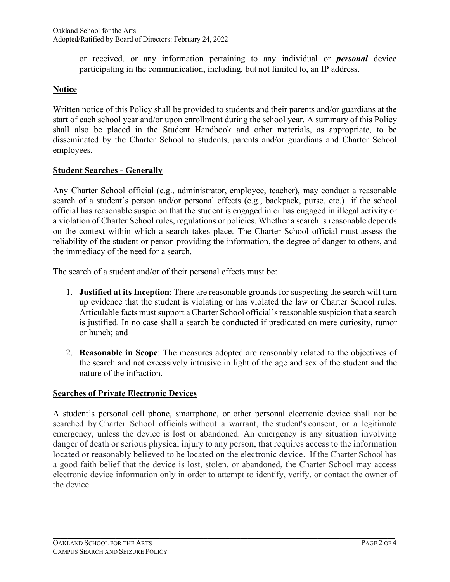or received, or any information pertaining to any individual or *personal* device participating in the communication, including, but not limited to, an IP address.

## **Notice**

Written notice of this Policy shall be provided to students and their parents and/or guardians at the start of each school year and/or upon enrollment during the school year. A summary of this Policy shall also be placed in the Student Handbook and other materials, as appropriate, to be disseminated by the Charter School to students, parents and/or guardians and Charter School employees.

## **Student Searches - Generally**

Any Charter School official (e.g., administrator, employee, teacher), may conduct a reasonable search of a student's person and/or personal effects (e.g., backpack, purse, etc.) if the school official has reasonable suspicion that the student is engaged in or has engaged in illegal activity or a violation of Charter School rules, regulations or policies. Whether a search is reasonable depends on the context within which a search takes place. The Charter School official must assess the reliability of the student or person providing the information, the degree of danger to others, and the immediacy of the need for a search.

The search of a student and/or of their personal effects must be:

- 1. **Justified at its Inception**: There are reasonable grounds for suspecting the search will turn up evidence that the student is violating or has violated the law or Charter School rules. Articulable facts must support a Charter School official's reasonable suspicion that a search is justified. In no case shall a search be conducted if predicated on mere curiosity, rumor or hunch; and
- 2. **Reasonable in Scope**: The measures adopted are reasonably related to the objectives of the search and not excessively intrusive in light of the age and sex of the student and the nature of the infraction.

## **Searches of Private Electronic Devices**

A student's personal cell phone, smartphone, or other personal electronic device shall not be searched by Charter School officials without a warrant, the student's consent, or a legitimate emergency, unless the device is lost or abandoned. An emergency is any situation involving danger of death or serious physical injury to any person, that requires access to the information located or reasonably believed to be located on the electronic device. If the Charter School has a good faith belief that the device is lost, stolen, or abandoned, the Charter School may access electronic device information only in order to attempt to identify, verify, or contact the owner of the device.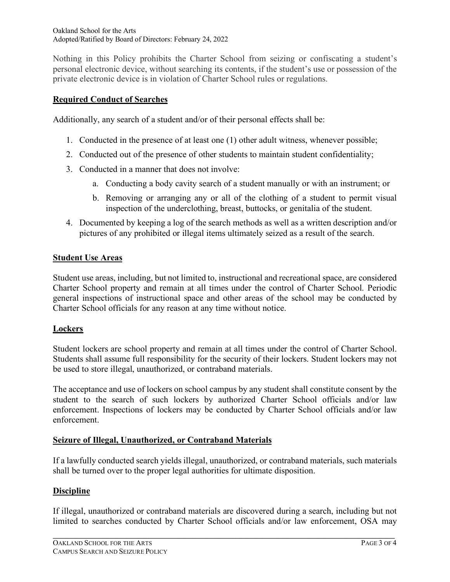Nothing in this Policy prohibits the Charter School from seizing or confiscating a student's personal electronic device, without searching its contents, if the student's use or possession of the private electronic device is in violation of Charter School rules or regulations.

## **Required Conduct of Searches**

Additionally, any search of a student and/or of their personal effects shall be:

- 1. Conducted in the presence of at least one (1) other adult witness, whenever possible;
- 2. Conducted out of the presence of other students to maintain student confidentiality;
- 3. Conducted in a manner that does not involve:
	- a. Conducting a body cavity search of a student manually or with an instrument; or
	- b. Removing or arranging any or all of the clothing of a student to permit visual inspection of the underclothing, breast, buttocks, or genitalia of the student.
- 4. Documented by keeping a log of the search methods as well as a written description and/or pictures of any prohibited or illegal items ultimately seized as a result of the search.

#### **Student Use Areas**

Student use areas, including, but not limited to, instructional and recreational space, are considered Charter School property and remain at all times under the control of Charter School. Periodic general inspections of instructional space and other areas of the school may be conducted by Charter School officials for any reason at any time without notice.

## **Lockers**

Student lockers are school property and remain at all times under the control of Charter School. Students shall assume full responsibility for the security of their lockers. Student lockers may not be used to store illegal, unauthorized, or contraband materials.

The acceptance and use of lockers on school campus by any student shall constitute consent by the student to the search of such lockers by authorized Charter School officials and/or law enforcement. Inspections of lockers may be conducted by Charter School officials and/or law enforcement.

## **Seizure of Illegal, Unauthorized, or Contraband Materials**

If a lawfully conducted search yields illegal, unauthorized, or contraband materials, such materials shall be turned over to the proper legal authorities for ultimate disposition.

## **Discipline**

If illegal, unauthorized or contraband materials are discovered during a search, including but not limited to searches conducted by Charter School officials and/or law enforcement, OSA may